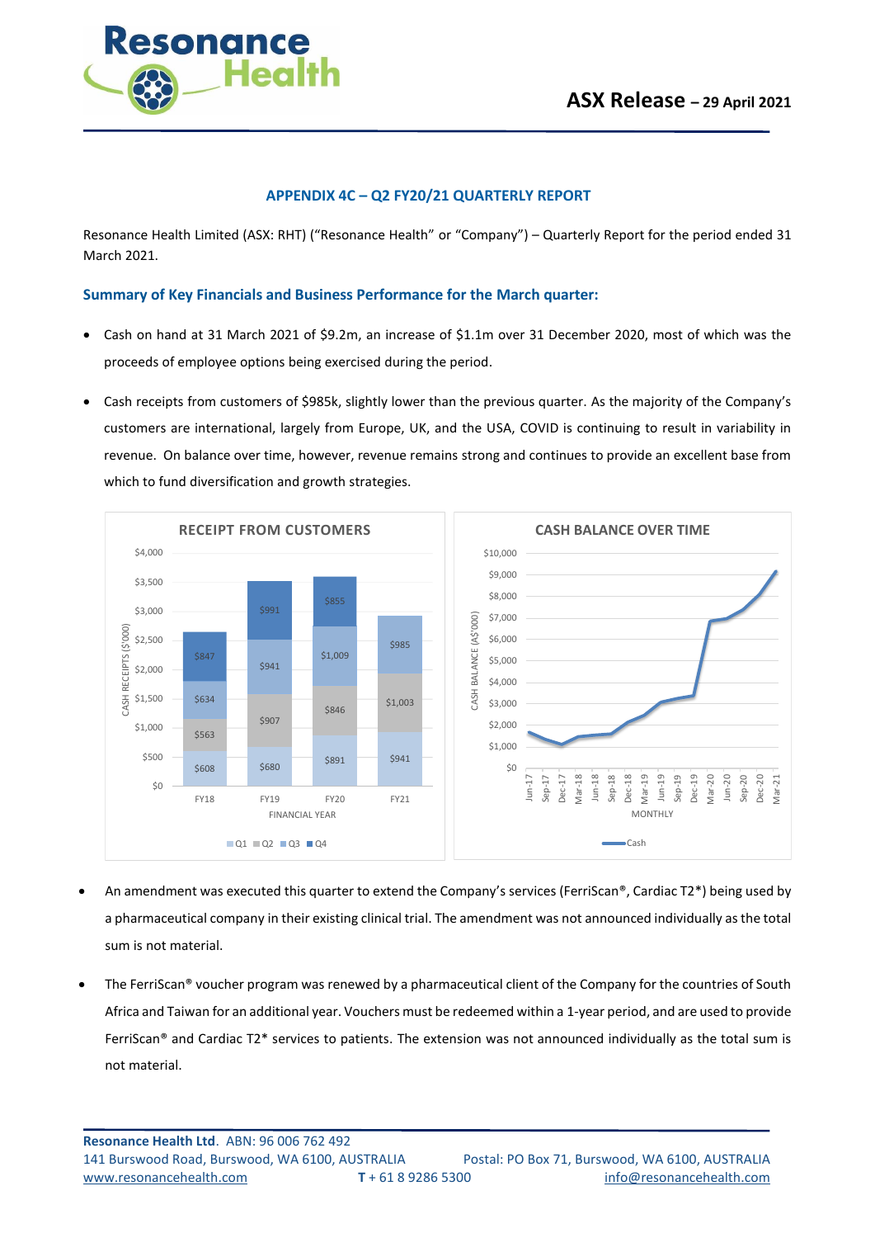

#### **APPENDIX 4C – Q2 FY20/21 QUARTERLY REPORT**

Resonance Health Limited (ASX: RHT) ("Resonance Health" or "Company") – Quarterly Report for the period ended 31 March 2021.

#### **Summary of Key Financials and Business Performance for the March quarter:**

- Cash on hand at 31 March 2021 of \$9.2m, an increase of \$1.1m over 31 December 2020, most of which was the proceeds of employee options being exercised during the period.
- Cash receipts from customers of \$985k, slightly lower than the previous quarter. As the majority of the Company's customers are international, largely from Europe, UK, and the USA, COVID is continuing to result in variability in revenue. On balance over time, however, revenue remains strong and continues to provide an excellent base from which to fund diversification and growth strategies.



- An amendment was executed this quarter to extend the Company's services (FerriScan®, Cardiac T2\*) being used by a pharmaceutical company in their existing clinical trial. The amendment was not announced individually as the total sum is not material.
- The FerriScan® voucher program was renewed by a pharmaceutical client of the Company for the countries of South Africa and Taiwan for an additional year. Vouchers must be redeemed within a 1-year period, and are used to provide FerriScan® and Cardiac T2\* services to patients. The extension was not announced individually as the total sum is not material.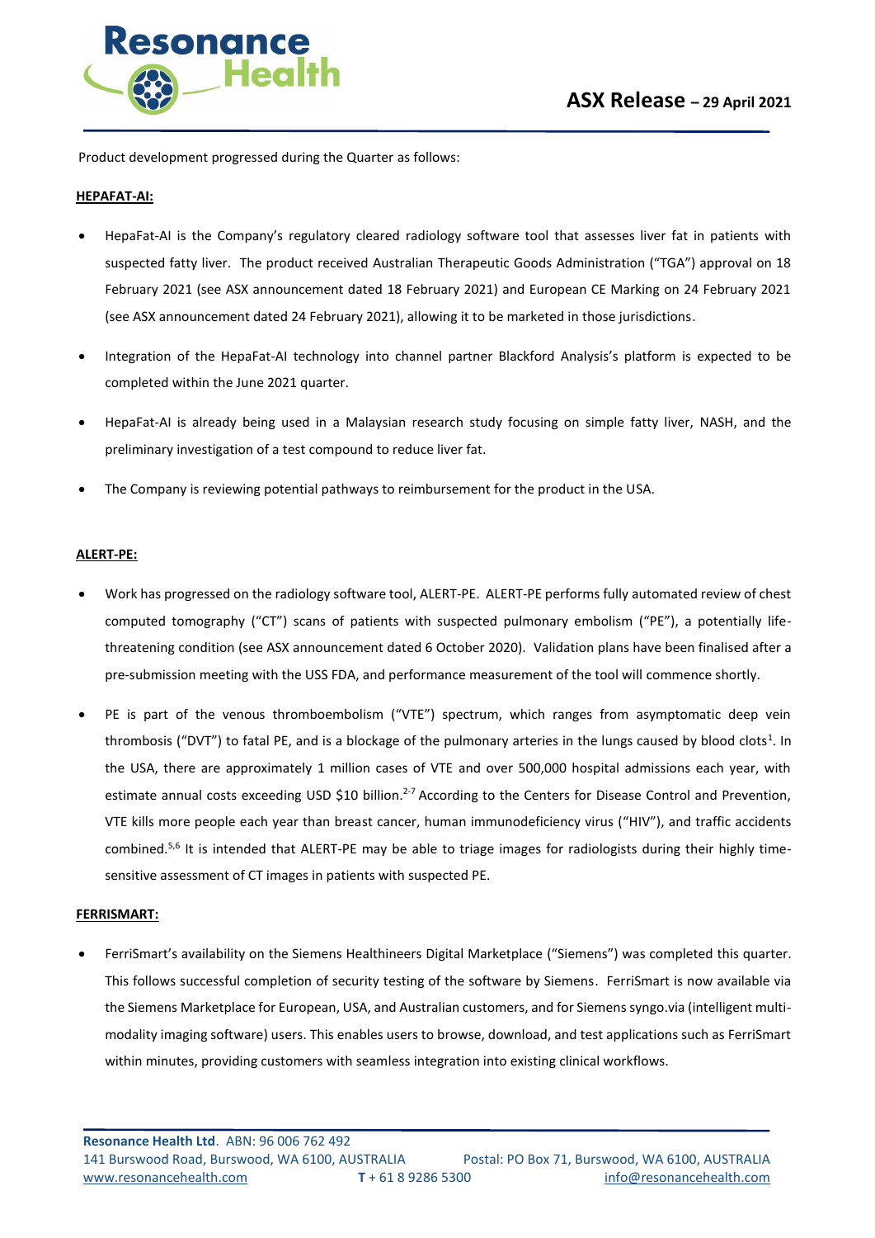

Product development progressed during the Quarter as follows:

#### **HEPAFAT-AI:**

- HepaFat-AI is the Company's regulatory cleared radiology software tool that assesses liver fat in patients with suspected fatty liver. The product received Australian Therapeutic Goods Administration ("TGA") approval on 18 February 2021 (see ASX announcement dated 18 February 2021) and European CE Marking on 24 February 2021 (see ASX announcement dated 24 February 2021), allowing it to be marketed in those jurisdictions.
- Integration of the HepaFat-AI technology into channel partner Blackford Analysis's platform is expected to be completed within the June 2021 quarter.
- HepaFat-AI is already being used in a Malaysian research study focusing on simple fatty liver, NASH, and the preliminary investigation of a test compound to reduce liver fat.
- The Company is reviewing potential pathways to reimbursement for the product in the USA.

#### **ALERT-PE:**

- Work has progressed on the radiology software tool, ALERT-PE. ALERT-PE performs fully automated review of chest computed tomography ("CT") scans of patients with suspected pulmonary embolism ("PE"), a potentially lifethreatening condition (see ASX announcement dated 6 October 2020). Validation plans have been finalised after a pre-submission meeting with the USS FDA, and performance measurement of the tool will commence shortly.
- PE is part of the venous thromboembolism ("VTE") spectrum, which ranges from asymptomatic deep vein thrombosis ("DVT") to fatal PE, and is a blockage of the pulmonary arteries in the lungs caused by blood clots<sup>1</sup>. In the USA, there are approximately 1 million cases of VTE and over 500,000 hospital admissions each year, with estimate annual costs exceeding USD \$10 billion.<sup>2-7</sup> According to the Centers for Disease Control and Prevention, VTE kills more people each year than breast cancer, human immunodeficiency virus ("HIV"), and traffic accidents combined.<sup>5,6</sup> It is intended that ALERT-PE may be able to triage images for radiologists during their highly timesensitive assessment of CT images in patients with suspected PE.

#### **FERRISMART:**

• FerriSmart's availability on the Siemens Healthineers Digital Marketplace ("Siemens") was completed this quarter. This follows successful completion of security testing of the software by Siemens. FerriSmart is now available via the Siemens Marketplace for European, USA, and Australian customers, and for Siemens syngo.via (intelligent multimodality imaging software) users. This enables users to browse, download, and test applications such as FerriSmart within minutes, providing customers with seamless integration into existing clinical workflows.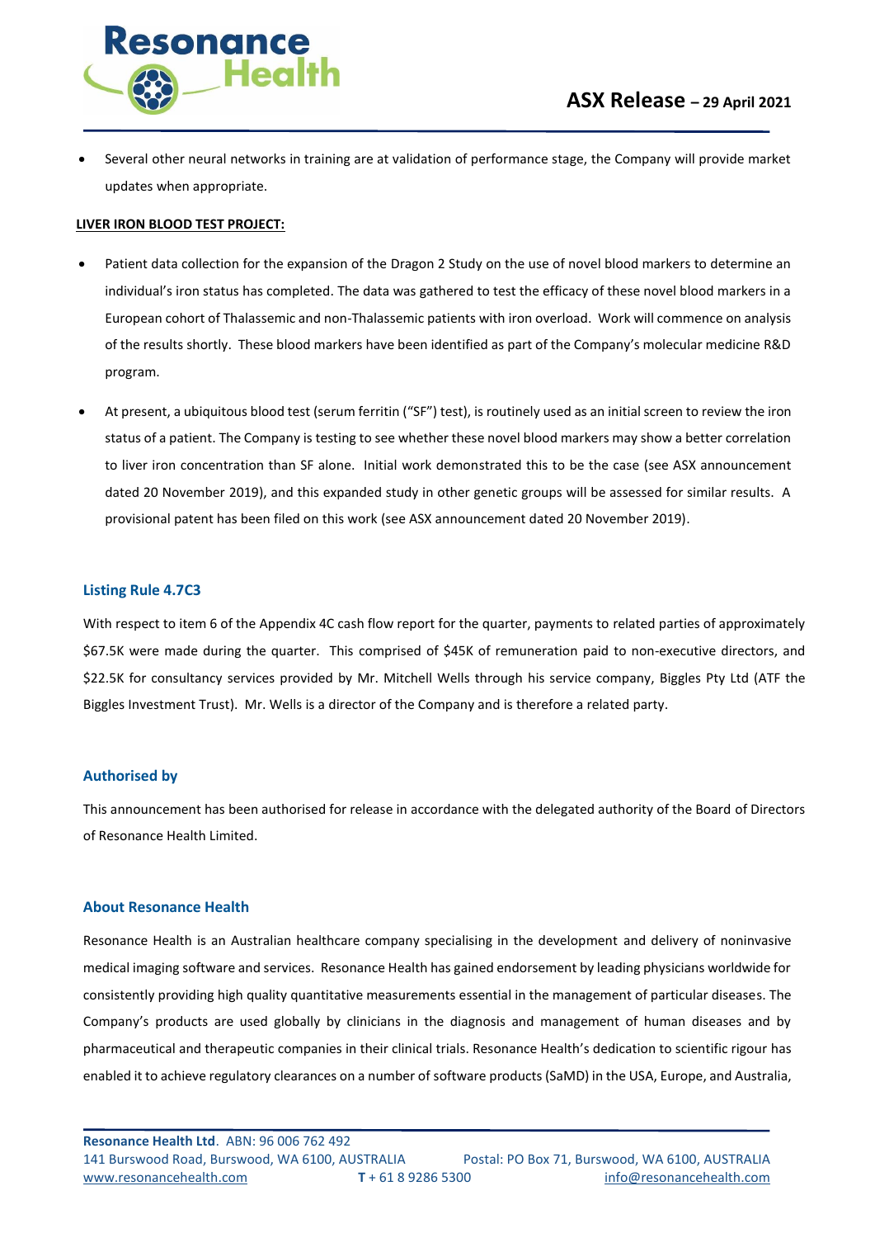

• Several other neural networks in training are at validation of performance stage, the Company will provide market updates when appropriate.

#### **LIVER IRON BLOOD TEST PROJECT:**

- Patient data collection for the expansion of the Dragon 2 Study on the use of novel blood markers to determine an individual's iron status has completed. The data was gathered to test the efficacy of these novel blood markers in a European cohort of Thalassemic and non-Thalassemic patients with iron overload. Work will commence on analysis of the results shortly. These blood markers have been identified as part of the Company's molecular medicine R&D program.
- At present, a ubiquitous blood test (serum ferritin ("SF") test), is routinely used as an initial screen to review the iron status of a patient. The Company is testing to see whether these novel blood markers may show a better correlation to liver iron concentration than SF alone. Initial work demonstrated this to be the case (see ASX announcement dated 20 November 2019), and this expanded study in other genetic groups will be assessed for similar results. A provisional patent has been filed on this work (see ASX announcement dated 20 November 2019).

#### **Listing Rule 4.7C3**

With respect to item 6 of the Appendix 4C cash flow report for the quarter, payments to related parties of approximately \$67.5K were made during the quarter. This comprised of \$45K of remuneration paid to non-executive directors, and \$22.5K for consultancy services provided by Mr. Mitchell Wells through his service company, Biggles Pty Ltd (ATF the Biggles Investment Trust). Mr. Wells is a director of the Company and is therefore a related party.

#### **Authorised by**

This announcement has been authorised for release in accordance with the delegated authority of the Board of Directors of Resonance Health Limited.

#### **About Resonance Health**

Resonance Health is an Australian healthcare company specialising in the development and delivery of noninvasive medical imaging software and services. Resonance Health has gained endorsement by leading physicians worldwide for consistently providing high quality quantitative measurements essential in the management of particular diseases. The Company's products are used globally by clinicians in the diagnosis and management of human diseases and by pharmaceutical and therapeutic companies in their clinical trials. Resonance Health's dedication to scientific rigour has enabled it to achieve regulatory clearances on a number of software products (SaMD) in the USA, Europe, and Australia,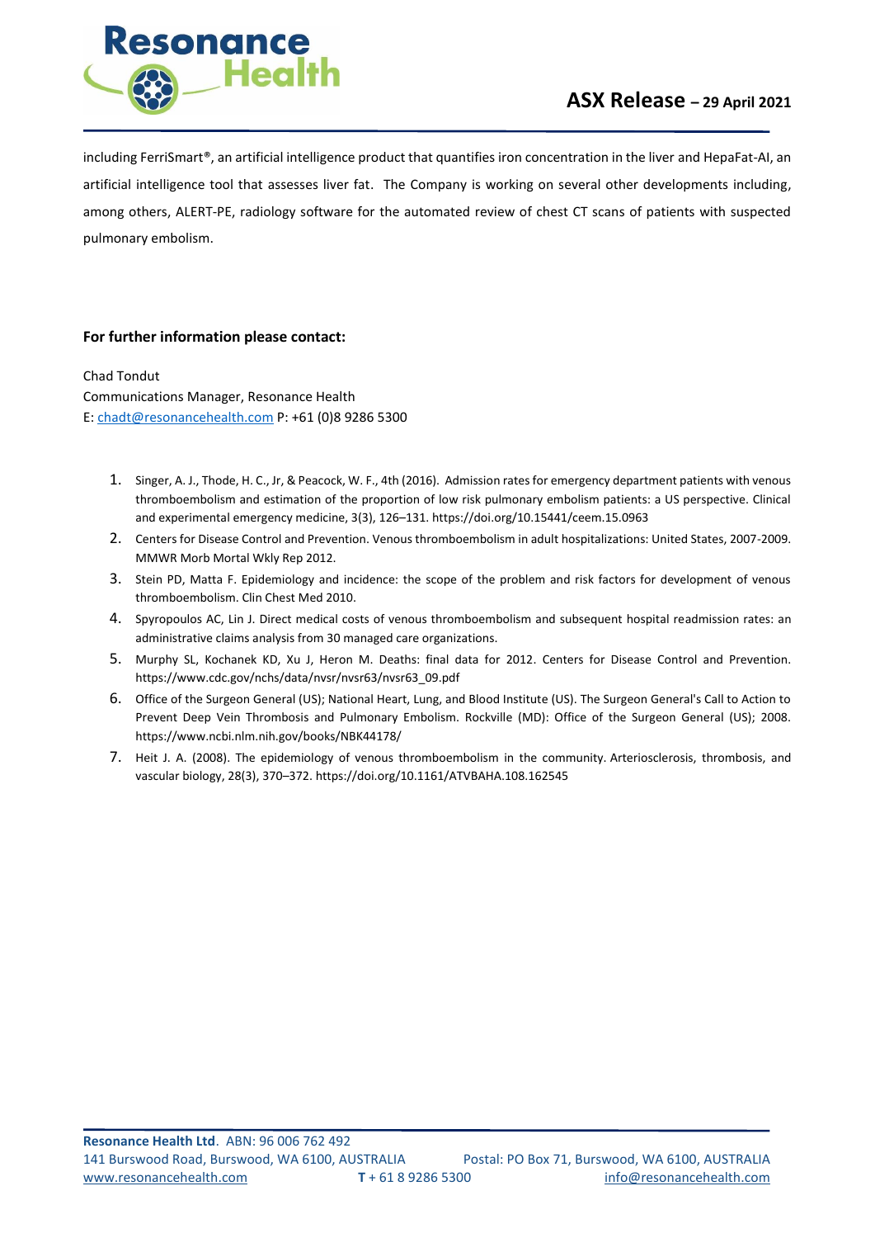

including FerriSmart®, an artificial intelligence product that quantifies iron concentration in the liver and HepaFat-AI, an artificial intelligence tool that assesses liver fat. The Company is working on several other developments including, among others, ALERT-PE, radiology software for the automated review of chest CT scans of patients with suspected pulmonary embolism.

### **For further information please contact:**

Chad Tondut Communications Manager, Resonance Health E[: chadt@resonancehealth.com](mailto:chadt@resonancehealth.com) P: +61 (0)8 9286 5300

- 1. Singer, A. J., Thode, H. C., Jr, & Peacock, W. F., 4th (2016). Admission rates for emergency department patients with venous thromboembolism and estimation of the proportion of low risk pulmonary embolism patients: a US perspective. Clinical and experimental emergency medicine, 3(3), 126–131[. https://doi.org/10.15441/ceem.15.0963](https://doi.org/10.15441/ceem.15.0963)
- 2. Centers for Disease Control and Prevention. Venous thromboembolism in adult hospitalizations: United States, 2007-2009. MMWR Morb Mortal Wkly Rep 2012.
- 3. Stein PD, Matta F. Epidemiology and incidence: the scope of the problem and risk factors for development of venous thromboembolism. Clin Chest Med 2010.
- 4. Spyropoulos AC, Lin J. Direct medical costs of venous thromboembolism and subsequent hospital readmission rates: an administrative claims analysis from 30 managed care organizations.
- 5. Murphy SL, Kochanek KD, Xu J, Heron M. Deaths: final data for 2012. Centers for Disease Control and Prevention. [https://www.cdc.gov/nchs/data/nvsr/nvsr63/nvsr63\\_09.pdf](https://www.cdc.gov/nchs/data/nvsr/nvsr63/nvsr63_09.pdf)
- 6. Office of the Surgeon General (US); National Heart, Lung, and Blood Institute (US). The Surgeon General's Call to Action to Prevent Deep Vein Thrombosis and Pulmonary Embolism. Rockville (MD): Office of the Surgeon General (US); 2008. <https://www.ncbi.nlm.nih.gov/books/NBK44178/>
- 7. Heit J. A. (2008). The epidemiology of venous thromboembolism in the community. Arteriosclerosis, thrombosis, and vascular biology, 28(3), 370–372. https://doi.org/10.1161/ATVBAHA.108.162545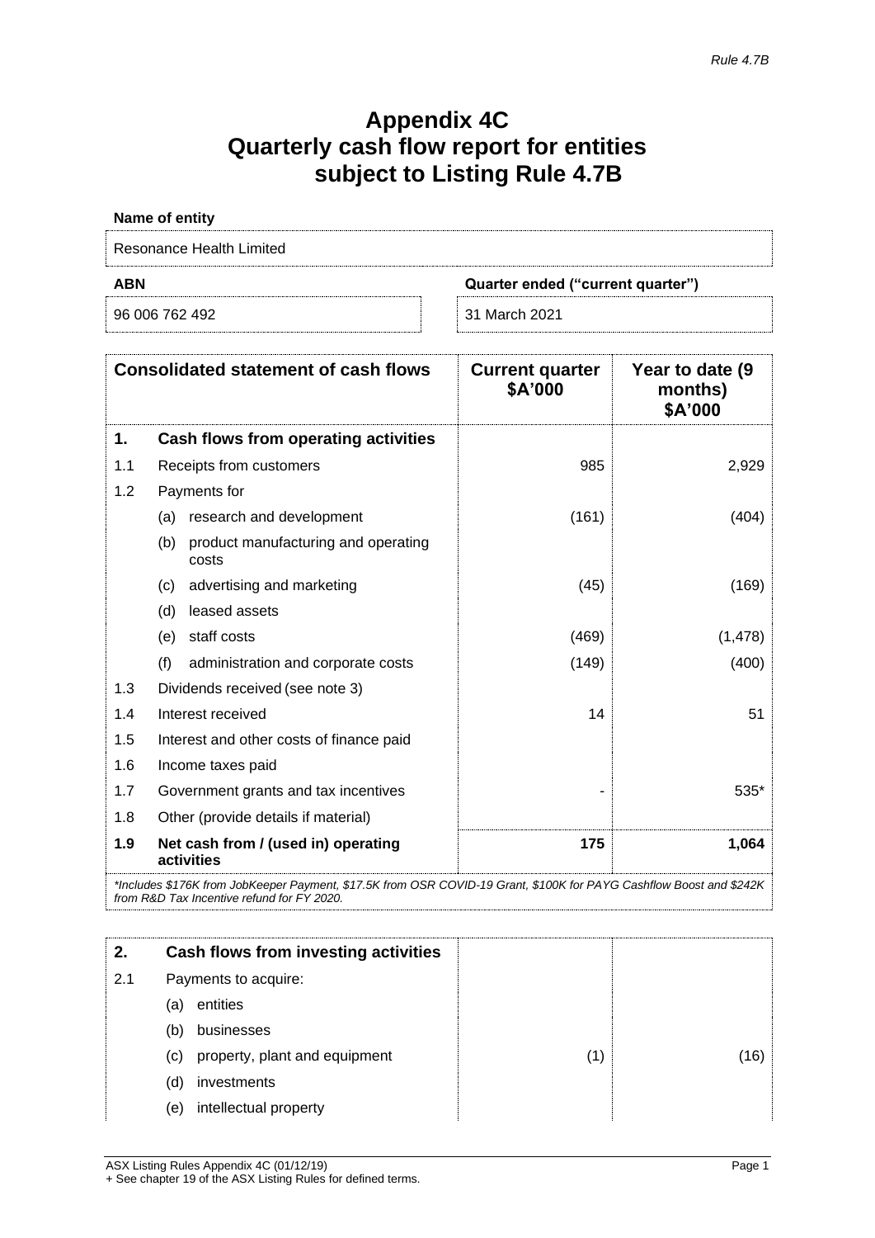# **Appendix 4C Quarterly cash flow report for entities subject to Listing Rule 4.7B**

| Name of entity           |                                   |
|--------------------------|-----------------------------------|
| Resonance Health Limited |                                   |
| ABN                      | Quarter ended ("current quarter") |
| 96 006 762 492           | 31 March 2021                     |

|     | <b>Consolidated statement of cash flows</b>                                                                         | <b>Current quarter</b><br>\$A'000 | Year to date (9)<br>months)<br>\$A'000 |
|-----|---------------------------------------------------------------------------------------------------------------------|-----------------------------------|----------------------------------------|
| 1.  | Cash flows from operating activities                                                                                |                                   |                                        |
| 1.1 | Receipts from customers                                                                                             | 985                               | 2,929                                  |
| 1.2 | Payments for                                                                                                        |                                   |                                        |
|     | research and development<br>(a)                                                                                     | (161)                             | (404)                                  |
|     | product manufacturing and operating<br>(b)<br>costs                                                                 |                                   |                                        |
|     | advertising and marketing<br>(c)                                                                                    | (45)                              | (169)                                  |
|     | leased assets<br>(d)                                                                                                |                                   |                                        |
|     | staff costs<br>(e)                                                                                                  | (469)                             | (1, 478)                               |
|     | (f)<br>administration and corporate costs                                                                           | (149)                             | (400)                                  |
| 1.3 | Dividends received (see note 3)                                                                                     |                                   |                                        |
| 1.4 | Interest received                                                                                                   | 14                                | 51                                     |
| 1.5 | Interest and other costs of finance paid                                                                            |                                   |                                        |
| 1.6 | Income taxes paid                                                                                                   |                                   |                                        |
| 1.7 | Government grants and tax incentives                                                                                |                                   | 535*                                   |
| 1.8 | Other (provide details if material)                                                                                 |                                   |                                        |
| 1.9 | Net cash from / (used in) operating<br>activities                                                                   | 175                               | 1,064                                  |
|     | *Includes \$176K from JobKeeper Payment, \$17.5K from OSR COVID-19 Grant, \$100K for PAYG Cashflow Boost and \$242K |                                   |                                        |

*from R&D Tax Incentive refund for FY 2020.*

| 2.  | Cash flows from investing activities |  |
|-----|--------------------------------------|--|
| 2.1 | Payments to acquire:                 |  |
|     | entities<br>(a)                      |  |
|     | businesses<br>(b)                    |  |
|     | property, plant and equipment<br>(C) |  |
|     | investments<br>(d)                   |  |
|     | intellectual property<br>(e)         |  |
|     |                                      |  |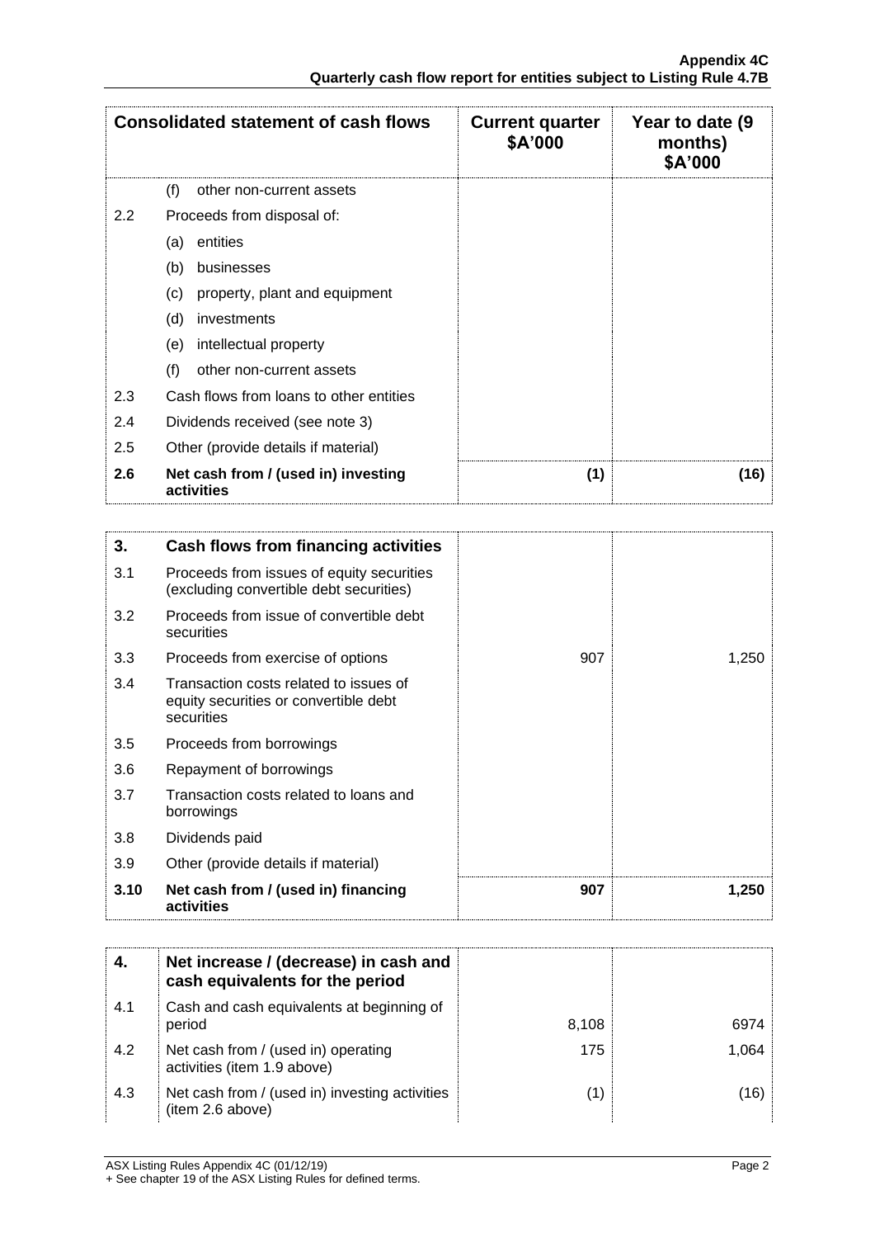|               | <b>Consolidated statement of cash flows</b>       | <b>Current quarter</b><br>\$A'000 | Year to date (9<br>months)<br>\$A'000 |
|---------------|---------------------------------------------------|-----------------------------------|---------------------------------------|
|               | (f)<br>other non-current assets                   |                                   |                                       |
| $2.2^{\circ}$ | Proceeds from disposal of:                        |                                   |                                       |
|               | entities<br>(a)                                   |                                   |                                       |
|               | (b)<br>businesses                                 |                                   |                                       |
|               | (c)<br>property, plant and equipment              |                                   |                                       |
|               | (d)<br>investments                                |                                   |                                       |
|               | intellectual property<br>(e)                      |                                   |                                       |
|               | (f)<br>other non-current assets                   |                                   |                                       |
| 2.3           | Cash flows from loans to other entities           |                                   |                                       |
| 2.4           | Dividends received (see note 3)                   |                                   |                                       |
| 2.5           | Other (provide details if material)               |                                   |                                       |
| 2.6           | Net cash from / (used in) investing<br>activities | (1)                               | (16)                                  |

| 3.   | Cash flows from financing activities                                                          |     |       |
|------|-----------------------------------------------------------------------------------------------|-----|-------|
| 3.1  | Proceeds from issues of equity securities<br>(excluding convertible debt securities)          |     |       |
| 3.2  | Proceeds from issue of convertible debt<br>securities                                         |     |       |
| 3.3  | Proceeds from exercise of options                                                             | 907 | 1,250 |
| 3.4  | Transaction costs related to issues of<br>equity securities or convertible debt<br>securities |     |       |
| 3.5  | Proceeds from borrowings                                                                      |     |       |
| 3.6  | Repayment of borrowings                                                                       |     |       |
| 3.7  | Transaction costs related to loans and<br>borrowings                                          |     |       |
| 3.8  | Dividends paid                                                                                |     |       |
| 3.9  | Other (provide details if material)                                                           |     |       |
| 3.10 | Net cash from / (used in) financing<br>activities                                             | 907 | 1,250 |

|     | Net increase / (decrease) in cash and<br>cash equivalents for the period |       |       |
|-----|--------------------------------------------------------------------------|-------|-------|
| 4.1 | Cash and cash equivalents at beginning of<br>period                      | 8,108 | 6974  |
| 4.2 | Net cash from / (used in) operating<br>activities (item 1.9 above)       | 175   | 1.064 |
| 4.3 | Net cash from / (used in) investing activities<br>(item 2.6 above)       |       | (16)  |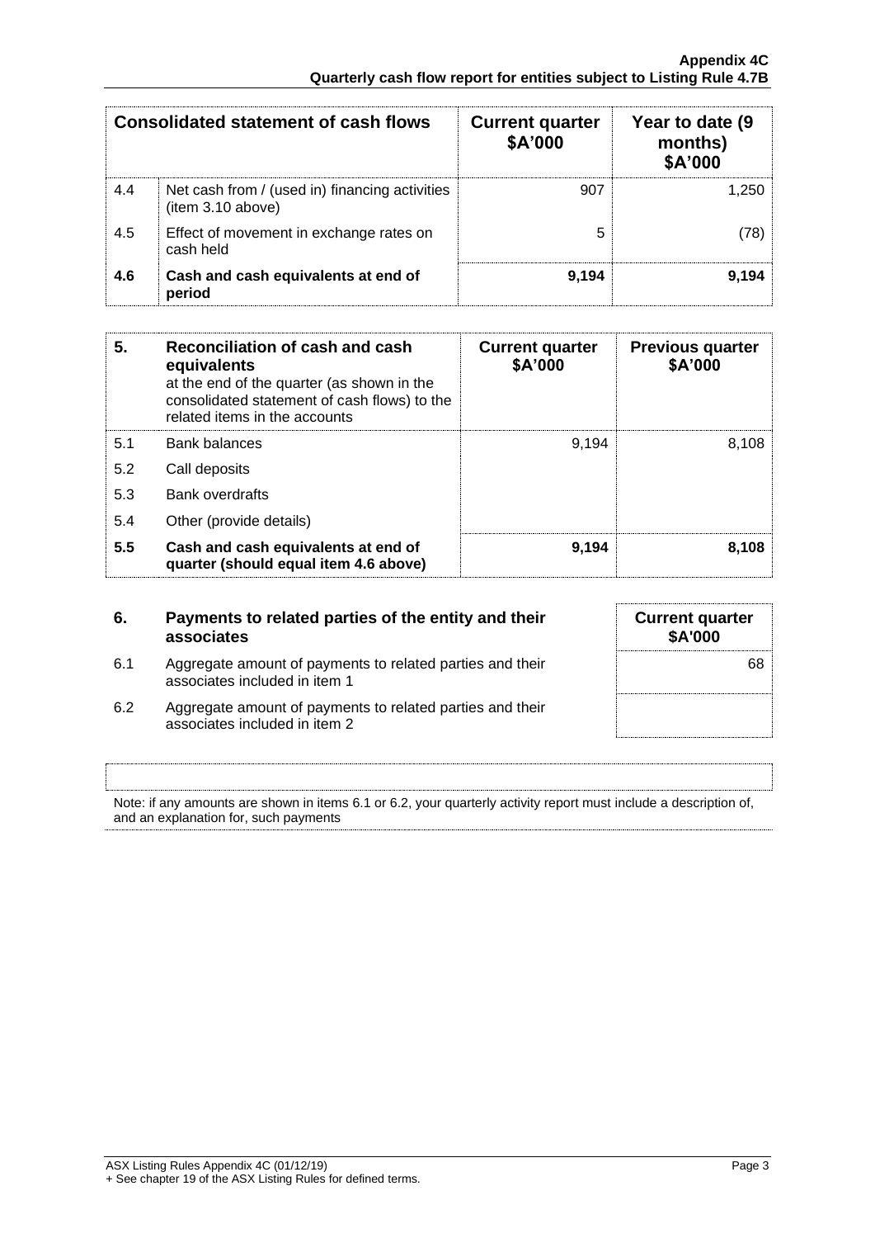|     | Consolidated statement of cash flows                               | <b>Current quarter</b><br>\$A'000 | Year to date (9<br>months)<br>\$A'000 |
|-----|--------------------------------------------------------------------|-----------------------------------|---------------------------------------|
| 4.4 | Net cash from / (used in) financing activities<br>item 3.10 above) | 907                               | 1.250                                 |
| 4.5 | Effect of movement in exchange rates on<br>cash held               | 5                                 | (78)                                  |
| 4.6 | Cash and cash equivalents at end of<br>period                      | 9,194                             | 9.194                                 |

| 5.  | Reconciliation of cash and cash<br>equivalents<br>at the end of the quarter (as shown in the<br>consolidated statement of cash flows) to the<br>related items in the accounts | <b>Current quarter</b><br>\$A'000 | <b>Previous quarter</b><br>\$A'000 |
|-----|-------------------------------------------------------------------------------------------------------------------------------------------------------------------------------|-----------------------------------|------------------------------------|
| 5.1 | <b>Bank balances</b>                                                                                                                                                          | 9.194                             | 8.108                              |
| 5.2 | Call deposits                                                                                                                                                                 |                                   |                                    |
| 5.3 | <b>Bank overdrafts</b>                                                                                                                                                        |                                   |                                    |
| 5.4 | Other (provide details)                                                                                                                                                       |                                   |                                    |
| 5.5 | Cash and cash equivalents at end of<br>quarter (should equal item 4.6 above)                                                                                                  | 9,194                             | 8,108                              |

| 6.  | Payments to related parties of the entity and their<br>associates                          | <b>Current quarter</b><br><b>\$A'000</b> |
|-----|--------------------------------------------------------------------------------------------|------------------------------------------|
| 6.1 | Aggregate amount of payments to related parties and their<br>associates included in item 1 | 68                                       |
| 6.2 | Aggregate amount of payments to related parties and their<br>associates included in item 2 |                                          |

Note: if any amounts are shown in items 6.1 or 6.2, your quarterly activity report must include a description of, and an explanation for, such payments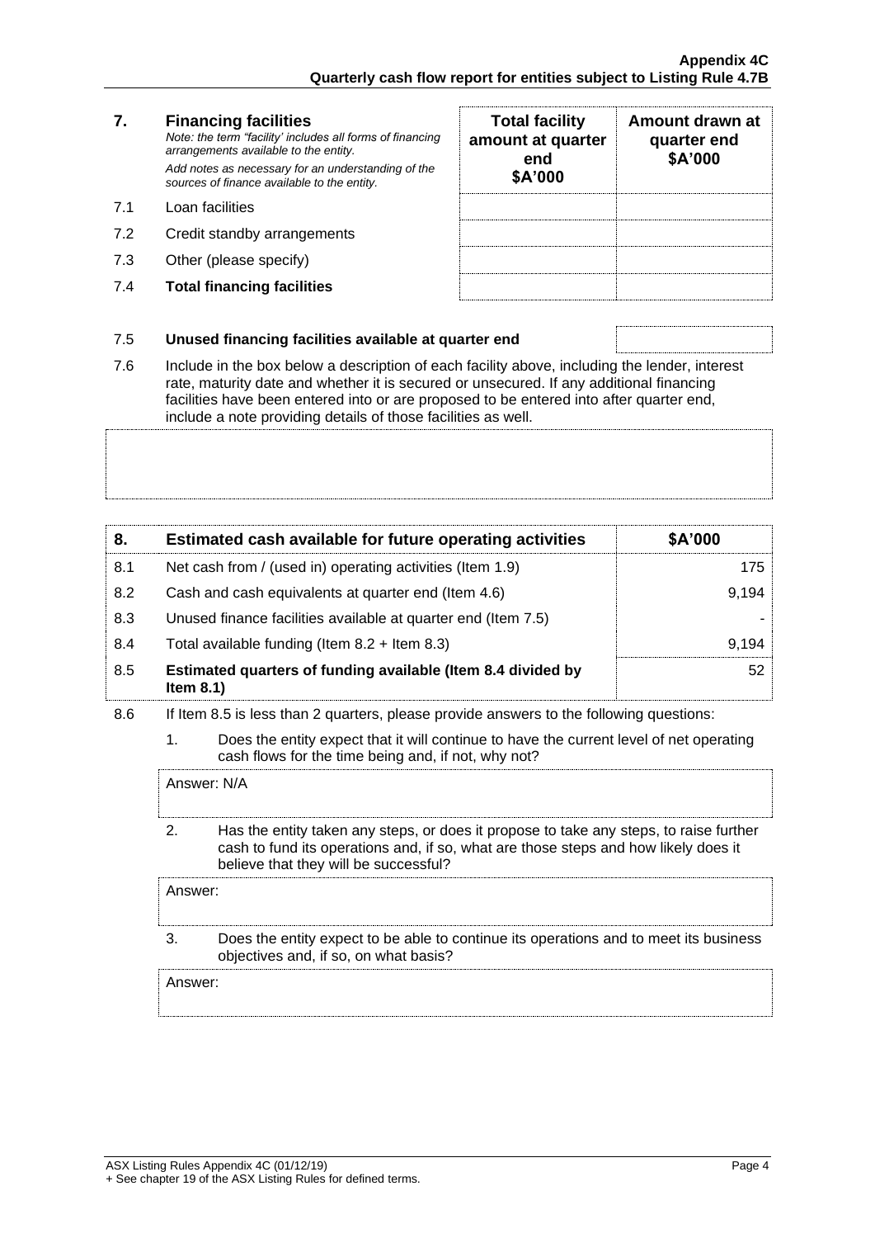# **7. Financing facilities**

*Note: the term "facility' includes all forms of financing arrangements available to the entity. Add notes as necessary for an understanding of the sources of finance available to the entity.*

- 7.1 Loan facilities
- 7.2 Credit standby arrangements
- 7.3 Other (please specify)
- 7.4 **Total financing facilities**

| <b>Total facility</b><br>amount at quarter<br>end<br>\$A'000 | Amount drawn at<br>quarter end<br>\$A'000 |
|--------------------------------------------------------------|-------------------------------------------|
|                                                              |                                           |
|                                                              |                                           |
|                                                              |                                           |

## 7.5 **Unused financing facilities available at quarter end**

7.6 Include in the box below a description of each facility above, including the lender, interest rate, maturity date and whether it is secured or unsecured. If any additional financing facilities have been entered into or are proposed to be entered into after quarter end, include a note providing details of those facilities as well.

| 8.  | Estimated cash available for future operating activities                     | \$A'000 |
|-----|------------------------------------------------------------------------------|---------|
| 8.1 | Net cash from / (used in) operating activities (Item 1.9)                    | 175     |
| 8.2 | Cash and cash equivalents at quarter end (Item 4.6)                          | 9.194   |
| 8.3 | Unused finance facilities available at quarter end (Item 7.5)                |         |
| 8.4 | Total available funding (Item $8.2 +$ Item $8.3$ )                           | 9.194   |
| 8.5 | Estimated quarters of funding available (Item 8.4 divided by<br>Item $8.1$ ) | 52      |

- 8.6 If Item 8.5 is less than 2 quarters, please provide answers to the following questions:
	- 1. Does the entity expect that it will continue to have the current level of net operating cash flows for the time being and, if not, why not?

Answer: N/A

2. Has the entity taken any steps, or does it propose to take any steps, to raise further cash to fund its operations and, if so, what are those steps and how likely does it believe that they will be successful?

Answer:

3. Does the entity expect to be able to continue its operations and to meet its business objectives and, if so, on what basis?

Answer: